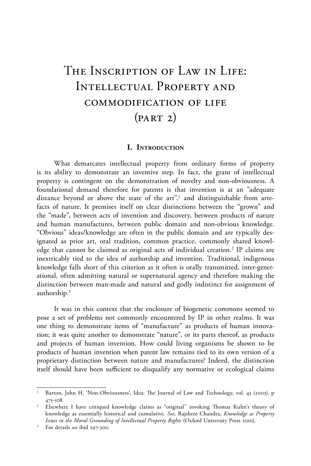# THE INSCRIPTION OF LAW IN LIFE: Intellectual Property and commodification of life  $(PART 2)$

#### **I. Introduction**

What demarcates intellectual property from ordinary forms of property is its ability to demonstrate an inventive step. In fact, the grant of intellectual property is contingent on the demonstration of novelty and non-obviousness. A foundational demand therefore for patents is that invention is at an "adequate distance beyond or above the state of the art",<sup>1</sup> and distinguishable from artefacts of nature. It premises itself on clear distinctions between the "grown" and the "made", between acts of invention and discovery, between products of nature and human manufactures, between public domain and non-obvious knowledge. "Obvious" ideas/knowledge are often in the public domain and are typically designated as prior art, oral tradition, common practice, commonly shared knowledge that cannot be claimed as original acts of individual creation.<sup>2</sup> IP claims are inextricably tied to the idea of authorship and invention*.* Traditional, indigenous knowledge falls short of this criterion as it often is orally transmitted, inter-generational, often admitting natural or supernatural agency and therefore making the distinction between man-made and natural and godly indistinct for assignment of authorship.3

It was in this context that the enclosure of biogenetic commons seemed to pose a set of problems not commonly encountered by IP in other realms. It was one thing to demonstrate items of "manufacture" as products of human innovation; it was quite another to demonstrate "nature", or its parts thereof, as products and projects of human invention. How could living organisms be shown to be products of human invention when patent law remains tied to its own version of a proprietary distinction between nature and manufactures? Indeed, the distinction itself should have been sufficient to disqualify any normative or ecological claims

Barton, John H, 'Non-Obviousness', Idea: The Journal of Law and Technology, vol. 43 (2003), p 475-508.

<sup>2</sup> Elsewhere I have critiqued knowledge claims as "original" invoking Thomas Kuhn's theory of knowledge as essentially historical and cumulative. *See*, Rajshree Chandra, *Knowledge as Property Issues in the Moral Grounding of Intellectual Property Rights* (Oxford University Press 2010).

<sup>3</sup> For details *see* ibid 297-300.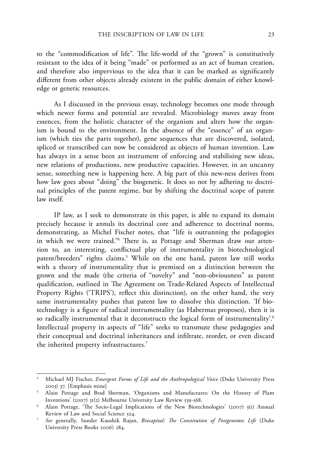to the "commodification of life". The life-world of the "grown" is constitutively resistant to the idea of it being "made" or performed as an act of human creation, and therefore also impervious to the idea that it can be marked as significantly different from other objects already existent in the public domain of either knowledge or genetic resources.

As I discussed in the previous essay, technology becomes one mode through which newer forms and potential are revealed. Microbiology moves away from essences, from the holistic character of the organism and alters how the organism is bound to the environment. In the absence of the "essence" of an organism (which ties the parts together), gene sequences that are discovered, isolated, spliced or transcribed can now be considered as objects of human invention. Law has always in a sense been an instrument of enforcing and stabilising new ideas, new relations of productions, new productive capacities. However, in an uncanny sense, something new is happening here. A big part of this new-ness derives from how law goes about "doing" the biogenetic. It does so not by adhering to doctrinal principles of the patent regime, but by shifting the doctrinal scope of patent law itself.

IP law, as I seek to demonstrate in this paper, is able to expand its domain precisely because it annuls its doctrinal core and adherence to doctrinal norms, demonstrating, as Michel Fischer notes, that "life is outrunning the pedagogies in which we were trained."4 There is, as Pottage and Sherman draw our attention to, an interesting, conflictual play of instrumentality in biotechnological patent/breeders" rights claims.<sup>5</sup> While on the one hand, patent law still works with a theory of instrumentality that is premised on a distinction between the grown and the made (the criteria of "novelty" and "non-obviousness" as patent qualification, outlined in The Agreement on Trade-Related Aspects of Intellectual Property Rights ('TRIPS'), reflect this distinction), on the other hand, the very same instrumentality pushes that patent law to dissolve this distinction. 'If biotechnology is a figure of radical instrumentality (as Habermas proposes), then it is so radically instrumental that it deconstructs the logical form of instrumentality'.<sup>6</sup> Intellectual property in aspects of "life" seeks to transmute these pedagogies and their conceptual and doctrinal inheritances and infiltrate, reorder, or even discard the inherited property infrastructures.7

<sup>4</sup> Michael MJ Fischer, *Emergent Forms of Life and the Anthropological Voice* (Duke University Press 2003) 37. [Emphasis mine]

<sup>5</sup> Alain Pottage and Brad Sherman, 'Organisms and Manufactures: On the History of Plant Inventions' (2007) 31(2) Melbourne University Law Review 539-568.

<sup>6</sup> Alain Pottage, 'The Socio-Legal Implications of the New Biotechnologies' (2007) 3(1) Annual Review of Law and Social Science 324.

<sup>7</sup> *See* generally, Sunder Kaushik Rajan, *Biocapital: The Constitution of Postgenomic Life* (Duke University Press Books 2006) 284.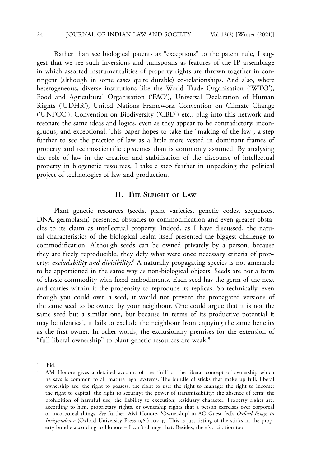Rather than see biological patents as "exceptions" to the patent rule, I suggest that we see such inversions and transposals as features of the IP assemblage in which assorted instrumentalities of property rights are thrown together in contingent (although in some cases quite durable) co-relationships. And also, where heterogeneous, diverse institutions like the World Trade Organisation ('WTO'), Food and Agricultural Organisation ('FAO'), Universal Declaration of Human Rights ('UDHR'), United Nations Framework Convention on Climate Change ('UNFCC'), Convention on Biodiversity ('CBD') etc., plug into this network and resonate the same ideas and logics, even as they appear to be contradictory, incongruous, and exceptional. This paper hopes to take the "making of the law", a step further to see the practice of law as a little more vested in dominant frames of property and technoscientific epistemes than is commonly assumed. By analysing the role of law in the creation and stabilisation of the discourse of intellectual property in biogenetic resources, I take a step further in unpacking the political project of technologies of law and production.

# **II. The Sleight of Law**

Plant genetic resources (seeds, plant varieties, genetic codes, sequences, DNA, germplasm) presented obstacles to commodification and even greater obstacles to its claim as intellectual property. Indeed, as I have discussed, the natural characteristics of the biological realm itself presented the biggest challenge to commodification. Although seeds can be owned privately by a person, because they are freely reproducible, they defy what were once necessary criteria of property: *excludability and divisibility*. 8 A naturally propagating species is not amenable to be apportioned in the same way as non-biological objects. Seeds are not a form of classic commodity with fixed embodiments. Each seed has the germ of the next and carries within it the propensity to reproduce its replicas. So technically, even though you could own a seed, it would not prevent the propagated versions of the same seed to be owned by your neighbour. One could argue that it is not the same seed but a similar one, but because in terms of its productive potential it may be identical, it fails to exclude the neighbour from enjoying the same benefits as the first owner. In other words, the exclusionary premises for the extension of "full liberal ownership" to plant genetic resources are weak.<sup>9</sup>

ibid.

AM Honore gives a detailed account of the 'full' or the liberal concept of ownership which he says is common to all mature legal systems. The bundle of sticks that make up full, liberal ownership are: the right to possess; the right to use; the right to manage; the right to income; the right to capital; the right to security; the power of transmissibility; the absence of term; the prohibition of harmful use; the liability to execution; residuary character. Property rights are, according to him, proprietary rights, or ownership rights that a person exercises over corporeal or incorporeal things. *See* further, AM Honore, 'Ownership' in AG Guest (ed), *Oxford Essays in Jurisprudence* (Oxford University Press 1961) 107-47. This is just listing of the sticks in the property bundle according to Honore – I can't change that. Besides, there's a citation too.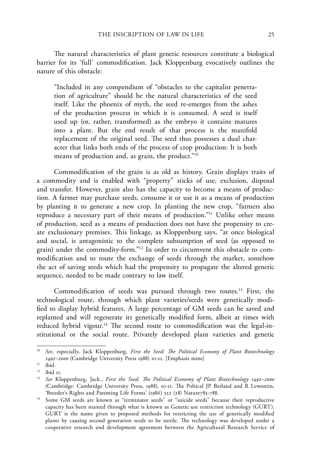The natural characteristics of plant genetic resources constitute a biological barrier for its 'full' commodification. Jack Kloppenburg evocatively outlines the nature of this obstacle:

"Included in any compendium of "obstacles to the capitalist penetration of agriculture" should be the natural characteristics of the seed itself. Like the phoenix of myth, the seed re-emerges from the ashes of the production process in which it is consumed. A seed is itself used up (or, rather, transformed) as the embryo it contains matures into a plant. But the end result of that process is the manifold replacement of the original seed. The seed thus possesses a dual character that links both ends of the process of crop production: It is both means of production and, as grain, the product."10

Commodification of the grain is as old as history. Grain displays traits of a commodity and is enabled with "property" sticks of use, exclusion, disposal and transfer. However, grain also has the capacity to become a means of production. A farmer may purchase seeds, consume it or use it as a means of production by planting it to generate a new crop. In planting the new crop, "farmers also reproduce a necessary part of their means of production."11 Unlike other means of production, seed as a means of production does not have the propensity to create exclusionary premises. This linkage, as Kloppenburg says, "at once biological and social, is antagonistic to the complete subsumption of seed (as opposed to grain) under the commodity-form."12 In order to circumvent this obstacle to commodification and to route the exchange of seeds through the market, somehow the act of saving seeds which had the propensity to propagate the altered genetic sequence, needed to be made contrary to law itself.

Commodification of seeds was pursued through two routes.<sup>13</sup> First, the technological route, through which plant varieties/seeds were genetically modified to display hybrid features. A large percentage of GM seeds can be saved and replanted and will regenerate its genetically modified form, albeit at times with reduced hybrid vigour.<sup>14</sup> The second route to commodification was the legal-institutional or the social route. Privately developed plant varieties and genetic

<sup>10</sup> *See*, especially, Jack Kloppenburg, *First the Seed: The Political Economy of Plant Biotechnology 1492–2000* (Cambridge University Press 1988) 10-11. [Emphasis mine]

 $11$  ibid.

<sup>12</sup> ibid 11.

<sup>13</sup> *See* Kloppenburg, Jack., *First the Seed: The Political Economy of Plant Biotechnology 1492–2000* (Cambridge: Cambridge University Press, 1988), 10-11. The Poltical JP Berland and R Lewontin, 'Breeder's Rights and Patenting Life Forms' (1986) 322 (28) Nature785-788.

<sup>&</sup>lt;sup>14</sup> Some GM seeds are known as "terminator seeds" or "suicide seeds" because their reproductive capacity has been stunted through what is known as Genetic use restriction technology (GURT). GURT is the name given to proposed methods for restricting the use of genetically modified plants by causing second generation seeds to be sterile. The technology was developed under a cooperative research and development agreement between the Agricultural Research Service of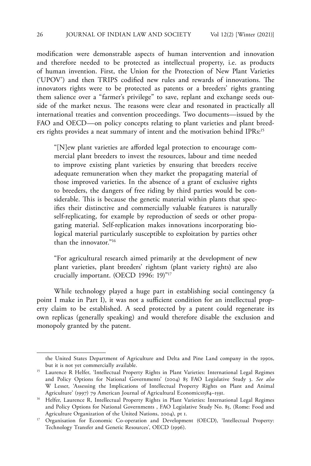modification were demonstrable aspects of human intervention and innovation and therefore needed to be protected as intellectual property, i.e. as products of human invention. First, the Union for the Protection of New Plant Varieties ('UPOV') and then TRIPS codified new rules and rewards of innovations. The innovators rights were to be protected as patents or a breeders' rights granting them salience over a "farmer's privilege" to save, replant and exchange seeds outside of the market nexus. The reasons were clear and resonated in practically all international treaties and convention proceedings. Two documents—issued by the FAO and OECD—on policy concepts relating to plant varieties and plant breeders rights provides a neat summary of intent and the motivation behind IPRs:15

"[N]ew plant varieties are afforded legal protection to encourage commercial plant breeders to invest the resources, labour and time needed to improve existing plant varieties by ensuring that breeders receive adequate remuneration when they market the propagating material of those improved varieties. In the absence of a grant of exclusive rights to breeders, the dangers of free riding by third parties would be considerable. This is because the genetic material within plants that specifies their distinctive and commercially valuable features is naturally self-replicating, for example by reproduction of seeds or other propagating material. Self-replication makes innovations incorporating biological material particularly susceptible to exploitation by parties other than the innovator."<sup>16</sup>

"For agricultural research aimed primarily at the development of new plant varieties, plant breeders' rightsm (plant variety rights) are also crucially important. (OECD 1996: 19)"17

While technology played a huge part in establishing social contingency (a point I make in Part I), it was not a sufficient condition for an intellectual property claim to be established. A seed protected by a patent could regenerate its own replicas (generally speaking) and would therefore disable the exclusion and monopoly granted by the patent.

the United States Department of Agriculture and Delta and Pine Land company in the 1990s, but it is not yet commercially available.

<sup>&</sup>lt;sup>15</sup> Laurence R Helfer, 'Intellectual Property Rights in Plant Varieties: International Legal Regimes and Policy Options for National Governments' (2004) 85 FAO Legislative Study 3. *See also* W Lesser, 'Assessing the Implications of Intellectual Property Rights on Plant and Animal Agriculture' (1997) 79 American Journal of Agricultural Economics1584–1591.

<sup>&</sup>lt;sup>16</sup> Helfer, Laurence R, Intellectual Property Rights in Plant Varieties: International Legal Regimes and Policy Options for National Governments , FAO Legislative Study No. 85, (Rome: Food and Agriculture Organization of the United Nations, 2004), pt 1.

<sup>&</sup>lt;sup>17</sup> Organisation for Economic Co-operation and Development (OECD), 'Intellectual Property: Technology Transfer and Genetic Resources', OECD (1996).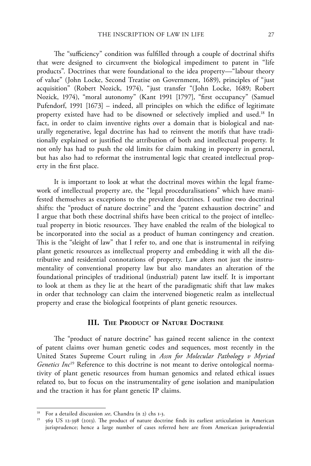The "sufficiency" condition was fulfilled through a couple of doctrinal shifts that were designed to circumvent the biological impediment to patent in "life products". Doctrines that were foundational to the idea property—"labour theory of value" (John Locke, Second Treatise on Government, 1689), principles of "just acquisition" (Robert Nozick, 1974), "just transfer "(John Locke, 1689; Robert Nozick, 1974), "moral autonomy" (Kant 1991 [1797], "first occupancy" (Samuel Pufendorf, 1991 [1673] – indeed, all principles on which the edifice of legitimate property existed have had to be disowned or selectively implied and used.<sup>18</sup> In fact, in order to claim inventive rights over a domain that is biological and naturally regenerative, legal doctrine has had to reinvent the motifs that have traditionally explained or justified the attribution of both and intellectual property. It not only has had to push the old limits for claim making in property in general, but has also had to reformat the instrumental logic that created intellectual property in the first place.

It is important to look at what the doctrinal moves within the legal framework of intellectual property are, the "legal proceduralisations" which have manifested themselves as exceptions to the prevalent doctrines. I outline two doctrinal shifts: the "product of nature doctrine" and the "patent exhaustion doctrine" and I argue that both these doctrinal shifts have been critical to the project of intellectual property in biotic resources. They have enabled the realm of the biological to be incorporated into the social as a product of human contingency and creation. This is the "sleight of law" that I refer to, and one that is instrumental in reifying plant genetic resources as intellectual property and embedding it with all the distributive and residential connotations of property. Law alters not just the instrumentality of conventional property law but also mandates an alteration of the foundational principles of traditional (industrial) patent law itself. It is important to look at them as they lie at the heart of the paradigmatic shift that law makes in order that technology can claim the intervened biogenetic realm as intellectual property and erase the biological footprints of plant genetic resources.

## **III. The Product of Nature Doctrine**

The "product of nature doctrine" has gained recent salience in the context of patent claims over human genetic codes and sequences, most recently in the United States Supreme Court ruling in *Assn for Molecular Pathology v Myriad Genetics Inc*19 Reference to this doctrine is not meant to derive ontological normativity of plant genetic resources from human genomics and related ethical issues related to, but to focus on the instrumentality of gene isolation and manipulation and the traction it has for plant genetic IP claims.

<sup>18</sup> For a detailed discussion *see*, Chandra (n 2) chs 1-3.

<sup>19</sup> 569 US 12-398 (2013). The product of nature doctrine finds its earliest articulation in American jurisprudence; hence a large number of cases referred here are from American jurisprudential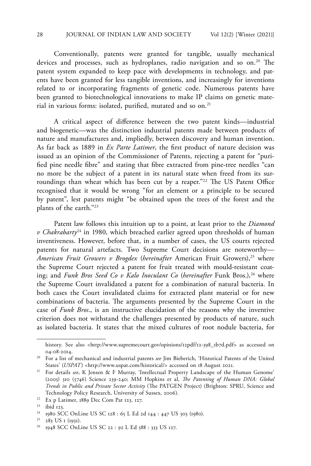Conventionally, patents were granted for tangible, usually mechanical devices and processes, such as hydroplanes, radio navigation and so on.<sup>20</sup> The patent system expanded to keep pace with developments in technology, and patents have been granted for less tangible inventions, and increasingly for inventions related to or incorporating fragments of genetic code. Numerous patents have been granted to biotechnological innovations to make IP claims on genetic material in various forms: isolated, purified, mutated and so on.<sup>21</sup>

A critical aspect of difference between the two patent kinds—industrial and biogenetic—was the distinction industrial patents made between products of nature and manufactures and, impliedly, between discovery and human invention. As far back as 1889 in *Ex Parte Latimer*, the first product of nature decision was issued as an opinion of the Commissioner of Patents, rejecting a patent for "purified pine needle fibre" and stating that fibre extracted from pine-tree needles "can no more be the subject of a patent in its natural state when freed from its surroundings than wheat which has been cut by a reaper."<sup>22</sup> The US Patent Office recognised that it would be wrong "for an element or a principle to be secured by patent", lest patents might "be obtained upon the trees of the forest and the plants of the earth."23

Patent law follows this intuition up to a point, at least prior to the *Diamond v Chakrabarty*<sup>24</sup> in 1980, which breached earlier agreed upon thresholds of human inventiveness. However, before that, in a number of cases, the US courts rejected patents for natural artefacts. Two Supreme Court decisions are noteworthy— American Fruit Growers v Brogdex (hereinafter American Fruit Growers),<sup>25</sup> where the Supreme Court rejected a patent for fruit treated with mould-resistant coating; and *Funk Bros Seed Co v Kalo Inoculant Co (hereinafter* Funk Bros.),<sup>26</sup> where the Supreme Court invalidated a patent for a combination of natural bacteria. In both cases the Court invalidated claims for extracted plant material or for new combinations of bacteria. The arguments presented by the Supreme Court in the case of *Funk Bros*., is an instructive elucidation of the reasons why the inventive criterion does not withstand the challenges presented by products of nature, such as isolated bacteria. It states that the mixed cultures of root nodule bacteria, for

history. See also <http://www.supremecourt.gov/opinions/12pdf/12-398\_1b7d.pdf> as accessed on 04-08-2014.

<sup>20</sup> For a list of mechanical and industrial patents *see* Jim Bieberich, 'Historical Patents of the United States' (*USPAT*) <http://www.uspat.com/historical/> accessed on 18 August 2021.

<sup>&</sup>lt;sup>21</sup> For details see, K Jensen & F Murray, 'Intellectual Property Landscape of the Human Genome' (2005) 310 (5746) Science 239-240; MM Hopkins et al, *The Patenting of Human DNA: Global Trends in Public and Private Sector Activity* (The PATGEN Project) (Brighton: SPRU, Science and Technology Policy Research, University of Sussex, 2006).

<sup>22</sup> Ex p Latimer, 1889 Dec Com Pat 123, 127.

<sup>23</sup> ibid 123.

<sup>24</sup> 1980 SCC OnLine US SC 128 : 65 L Ed 2d 144 : 447 US 303 (1980).

 $^{25}$  283 US 1 (1931).

<sup>26</sup> 1948 SCC OnLine US SC 22 : 92 L Ed 588 : 333 US 127.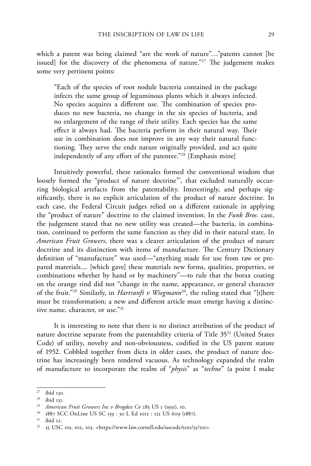which a patent was being claimed "are the work of nature"…"patents cannot [be issued] for the discovery of the phenomena of nature."<sup>27</sup> The judgement makes some very pertinent points:

"Each of the species of root nodule bacteria contained in the package infects the same group of leguminous plants which it always infected. No species acquires a different use. The combination of species produces no new bacteria, no change in the six species of bacteria, and no enlargement of the range of their utility. Each species has the same effect it always had. The bacteria perform in their natural way. Their use in combination does not improve in any way their natural functioning. They serve the ends nature originally provided, and act quite independently of any effort of the patentee."28 [Emphasis mine]

Intuitively powerful, these rationales formed the conventional wisdom that loosely formed the "product of nature doctrine"', that excluded naturally occurring biological artefacts from the patentability. Interestingly, and perhaps significantly, there is no explicit articulation of the product of nature doctrine. In each case, the Federal Circuit judges relied on a different rationale in applying the "product of nature" doctrine to the claimed invention. In the *Funk Bros.* case, the judgement stated that no new utility was created—the bacteria, in combination, continued to perform the same function as they did in their natural state. In *American Fruit Growers*, there was a clearer articulation of the product of nature doctrine and its distinction with items of manufacture. The Century Dictionary definition of "manufacture" was used—"anything made for use from raw or prepared materials.... [which gave] these materials new forms, qualities, properties, or combinations whether by hand or by machinery"—to rule that the borax coating on the orange rind did not "change in the name, appearance, or general character of the fruit."29 Similarly, in *Hartranft v Wiegmann*30, the ruling stated that "[t]here must be transformation; a new and different article must emerge having a distinctive name, character, or use."31

It is interesting to note that there is no distinct attribution of the product of nature doctrine separate from the patentability criteria of Title 35<sup>32</sup> (United States Code) of utility, novelty and non-obviousness, codified in the US patent statute of 1952. Cobbled together from dicta in older cases, the product of nature doctrine has increasingly been rendered vacuous. As technology expanded the realm of manufacture to incorporate the realm of "*physis*" as "*techne*" (a point I make

<sup>27</sup> ibid 130.

 $rac{28}{29}$  ibid 131.

<sup>29</sup> *American Fruit Growers Inc v Brogdex Co* 283 US 1 (1931), 10.

<sup>30</sup> 1887 SCC OnLine US SC 159 : 30 L Ed 1012 : 121 US 609 (1887).

 $31$  ibid 12.

<sup>32</sup> 35 USC 101, 102, 103. <https://www.law.cornell.edu/uscode/text/35/101>.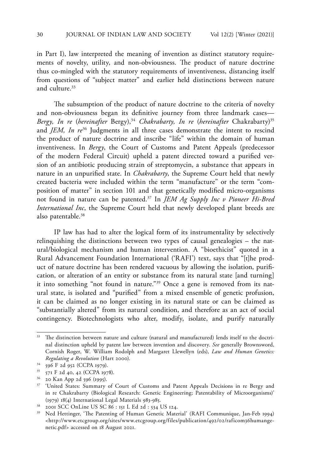in Part I), law interpreted the meaning of invention as distinct statutory requirements of novelty, utility, and non-obviousness. The product of nature doctrine thus co-mingled with the statutory requirements of inventiveness, distancing itself from questions of "subject matter" and earlier held distinctions between nature and culture.<sup>33</sup>

The subsumption of the product of nature doctrine to the criteria of novelty and non-obviousness began its definitive journey from three landmark cases— *Bergy, In re* (*hereinafter Bergy*),<sup>34</sup> *Chakrabarty, In re* (*hereinafter* Chakrabarty)<sup>35</sup> and *JEM, In re*<sup>36</sup> Judgments in all three cases demonstrate the intent to rescind the product of nature doctrine and inscribe "life" within the domain of human inventiveness. In *Bergy*, the Court of Customs and Patent Appeals (predecessor of the modern Federal Circuit) upheld a patent directed toward a purified version of an antibiotic producing strain of streptomycin, a substance that appears in nature in an unpurified state. In *Chakrabarty*, the Supreme Court held that newly created bacteria were included within the term "manufacture" or the term "composition of matter" in section 101 and that genetically modified micro-organisms not found in nature can be patented.37 In *JEM Ag Supply Inc v Pioneer Hi-Bred International Inc*, the Supreme Court held that newly developed plant breeds are also patentable.<sup>38</sup>

IP law has had to alter the logical form of its instrumentality by selectively relinquishing the distinctions between two types of causal genealogies – the natural/biological mechanism and human intervention. A "bioethicist" quoted in a Rural Advancement Foundation International ('RAFI') text, says that "[t]he product of nature doctrine has been rendered vacuous by allowing the isolation, purification, or alteration of an entity or substance from its natural state [and turning] it into something "not found in nature."39 Once a gene is removed from its natural state, is isolated and "purified" from a mixed ensemble of genetic profusion, it can be claimed as no longer existing in its natural state or can be claimed as "substantially altered" from its natural condition, and therefore as an act of social contingency. Biotechnologists who alter, modify, isolate, and purify naturally

The distinction between nature and culture (natural and manufactured) lends itself to the doctrinal distinction upheld by patent law between invention and discovery. *See* generally Brownsword, Cornish Roger, W. William Rodolph and Margaret Llewellyn (eds), *Law and Human Genetics: Regulating a Revolution* (Hart 2000).

<sup>34</sup> 596 F 2d 952 (CCPA 1979).

<sup>35</sup> 571 F 2d 40, 42 (CCPA 1978).

<sup>36</sup> 20 Kan App 2d 596 (1995).

<sup>&</sup>lt;sup>37</sup> 'United States: Summary of Court of Customs and Patent Appeals Decisions in re Bergy and in re Chakrabarty (Biological Research: Genetic Engineering; Patentability of Microorganisms)' (1979) 18(4) International Legal Materials 983-985.

<sup>38</sup> 2001 SCC OnLine US SC 86 : 151 L Ed 2d : 534 US 124.

<sup>&</sup>lt;sup>39</sup> Ned Hettinger, 'The Patenting of Human Genetic Material' (RAFI Communique, Jan-Feb 1994) <http://www.etcgroup.org/sites/www.etcgroup.org/files/publication/492/02/raficom36humangenetic.pdf> accessed on 18 August 2021.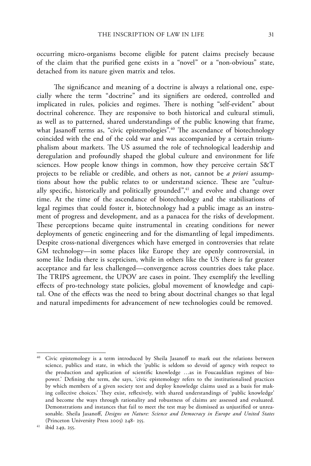occurring micro-organisms become eligible for patent claims precisely because of the claim that the purified gene exists in a "novel" or a "non-obvious" state, detached from its nature given matrix and telos.

The significance and meaning of a doctrine is always a relational one, especially where the term "doctrine" and its signifiers are ordered, controlled and implicated in rules, policies and regimes. There is nothing "self-evident" about doctrinal coherence. They are responsive to both historical and cultural stimuli, as well as to patterned, shared understandings of the public knowing that frame, what Jasanoff terms as, "civic epistemologies".<sup>40</sup> The ascendance of biotechnology coincided with the end of the cold war and was accompanied by a certain triumphalism about markets. The US assumed the role of technological leadership and deregulation and profoundly shaped the global culture and environment for life sciences. How people know things in common, how they perceive certain S&T projects to be reliable or credible, and others as not, cannot be *a priori* assumptions about how the public relates to or understand science. These are "culturally specific, historically and politically grounded", $41$  and evolve and change over time. At the time of the ascendance of biotechnology and the stabilisations of legal regimes that could foster it, biotechnology had a public image as an instrument of progress and development, and as a panacea for the risks of development. These perceptions became quite instrumental in creating conditions for newer deployments of genetic engineering and for the dismantling of legal impediments. Despite cross-national divergences which have emerged in controversies that relate GM technology—in some places like Europe they are openly controversial, in some like India there is scepticism, while in others like the US there is far greater acceptance and far less challenged—convergence across countries does take place. The TRIPS agreement, the UPOV are cases in point. They exemplify the levelling effects of pro-technology state policies, global movement of knowledge and capital. One of the effects was the need to bring about doctrinal changes so that legal and natural impediments for advancement of new technologies could be removed.

<sup>&</sup>lt;sup>40</sup> Civic epistemology is a term introduced by Sheila Jasanoff to mark out the relations between science, publics and state, in which the 'public is seldom so devoid of agency with respect to the production and application of scientific knowledge …as in Foucauldian regimes of biopower.' Defining the term, she says, 'civic epistemology refers to the institutionalised practices by which members of a given society test and deploy knowledge claims used as a basis for making collective choices.' They exist, reflexively, with shared understandings of 'public knowledge' and become the ways through rationality and robustness of claims are assessed and evaluated. Demonstrations and instances that fail to meet the test may be dismissed as unjustified or unreasonable. Sheila Jasanoff, *Designs on Nature: Science and Democracy in Europe and United States*  (Princeton University Press 2005) 248- 255.

<sup>41</sup> ibid 249, 255.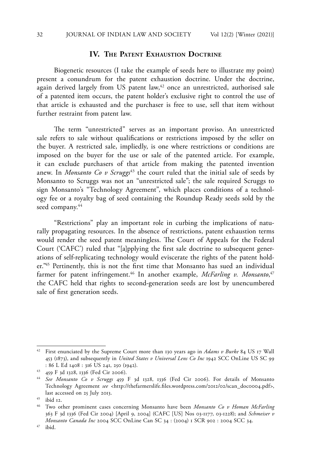#### **IV. The Patent Exhaustion Doctrine**

Biogenetic resources (I take the example of seeds here to illustrate my point) present a conundrum for the patent exhaustion doctrine. Under the doctrine, again derived largely from US patent  $law<sub>1</sub><sup>42</sup>$  once an unrestricted, authorised sale of a patented item occurs, the patent holder's exclusive right to control the use of that article is exhausted and the purchaser is free to use, sell that item without further restraint from patent law.

The term "unrestricted" serves as an important proviso. An unrestricted sale refers to sale without qualifications or restrictions imposed by the seller on the buyer. A restricted sale, impliedly, is one where restrictions or conditions are imposed on the buyer for the use or sale of the patented article. For example, it can exclude purchasers of that article from making the patented invention anew. In *Monsanto Co v Scruggs*<sup>43</sup> the court ruled that the initial sale of seeds by Monsanto to Scruggs was not an "unrestricted sale"; the sale required Scruggs to sign Monsanto's "Technology Agreement", which places conditions of a technology fee or a royalty bag of seed containing the Roundup Ready seeds sold by the seed company.<sup>44</sup>

"Restrictions" play an important role in curbing the implications of naturally propagating resources. In the absence of restrictions, patent exhaustion terms would render the seed patent meaningless. The Court of Appeals for the Federal Court ('CAFC') ruled that "[a]pplying the first sale doctrine to subsequent generations of self-replicating technology would eviscerate the rights of the patent holder."45 Pertinently, this is not the first time that Monsanto has sued an individual farmer for patent infringement.<sup>46</sup> In another example, *McFarling v. Monsanto*,<sup>47</sup> the CAFC held that rights to second-generation seeds are lost by unencumbered sale of first generation seeds.

<sup>42</sup> First enunciated by the Supreme Court more than 130 years ago in *Adams v Burke* 84 US 17 Wall 453 (1873), and subsequently in *United States v Universal Lens Co Inc* 1942 SCC OnLine US SC 99 : 86 L Ed 1408 : 316 US 241, 250 (1942).

<sup>43</sup> 459 F 3d 1328, 1336 (Fed Cir 2006).

<sup>44</sup> *See Monsanto Co v Scruggs* 459 F 3d 1328, 1336 (Fed Cir 2006). For details of Monsanto Technology Agreement *see <*http://thefarmerslife.files.wordpress.com/2012/02/scan\_doc0004.pdf>, last accessed on 25 July 2013.

<sup>45</sup> ibid 12.

<sup>46</sup> Two other prominent cases concerning Monsanto have been *Monsanto Co v Homan McFarling*  363 F 3d 1336 (Fed Cir 2004) [April 9, 2004] (CAFC [US] Nos 03-1177, 03-1228); and *Schmeiser v Monsanto Canada Inc* 2004 SCC OnLine Can SC 34 : (2004) 1 SCR 902 : 2004 SCC 34.

<sup>47</sup> ibid.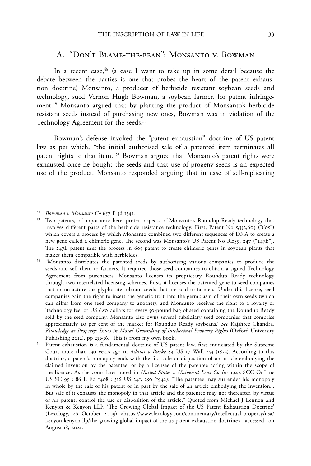## A. "Don't Blame-the-bean": Monsanto v. Bowman

In a recent case, $48$  (a case I want to take up in some detail because the debate between the parties is one that probes the heart of the patent exhaustion doctrine) Monsanto, a producer of herbicide resistant soybean seeds and technology, sued Vernon Hugh Bowman, a soybean farmer, for patent infringement.49 Monsanto argued that by planting the product of Monsanto's herbicide resistant seeds instead of purchasing new ones, Bowman was in violation of the Technology Agreement for the seeds.<sup>50</sup>

Bowman's defense invoked the "patent exhaustion" doctrine of US patent law as per which, "the initial authorised sale of a patented item terminates all patent rights to that item."<sup>51</sup> Bowman argued that Monsanto's patent rights were exhausted once he bought the seeds and that use of progeny seeds is an expected use of the product. Monsanto responded arguing that in case of self-replicating

<sup>48</sup> *Bowman v Monsanto Co* 657 F 3d 1341.

Two patents, of importance here, protect aspects of Monsanto's Roundup Ready technology that involves different parts of the herbicide resistance technology. First, Patent No 5,352,605 ("605") which covers a process by which Monsanto combined two different sequences of DNA to create a new gene called a chimeric gene. The second was Monsanto's US Patent No RE39, 247 ("247E"). The 247E patent uses the process in 605 patent to create chimeric genes in soybean plants that makes them compatible with herbicides.

<sup>&</sup>lt;sup>50</sup> "Monsanto distributes the patented seeds by authorising various companies to produce the seeds and sell them to farmers. It required those seed companies to obtain a signed Technology Agreement from purchasers. Monsanto licenses its proprietary Roundup Ready technology through two interrelated licensing schemes. First, it licenses the patented gene to seed companies that manufacture the glyphosate tolerant seeds that are sold to farmers. Under this license, seed companies gain the right to insert the genetic trait into the germplasm of their own seeds (which can differ from one seed company to another), and Monsanto receives the right to a royalty or 'technology fee' of US 6.50 dollars for every 50-pound bag of seed containing the Roundup Ready sold by the seed company. Monsanto also owns several subsidiary seed companies that comprise approximately 20 per cent of the market for Roundup Ready soybeans.' *See* Rajshree Chandra, *Knowledge as Property: Issues in Moral Grounding of Intellectual Property Rights* (Oxford University Publishing 2012), pp 255-56. This is from my own book.

<sup>51</sup> Patent exhaustion is a fundamental doctrine of US patent law, first enunciated by the Supreme Court more than 130 years ago in *Adams v Burke* 84 US 17 Wall 453 (1873). According to this doctrine, a patent's monopoly ends with the first sale or disposition of an article embodying the claimed invention by the patentee, or by a licensee of the patentee acting within the scope of the licence. As the court later noted in *United States v Universal Lens Co Inc* 1942 SCC OnLine US SC 99 : 86 L Ed 1408 : 316 US 241, 250 (1942): "The patentee may surrender his monopoly in whole by the sale of his patent or in part by the sale of an article embodying the invention... But sale of it exhausts the monopoly in that article and the patentee may not thereafter, by virtue of his patent, control the use or disposition of the article." Quoted from Michael J Lennon and Kenyon & Kenyon LLP, 'The Growing Global Impact of the US Patent Exhaustion Doctrine' (Lexology, 26 October 2009) <https://www.lexology.com/commentary/intellectual-property/usa/ kenyon-kenyon-llp/the-growing-global-impact-of-the-us-patent-exhaustion-doctrine> accessed on August 18, 2021.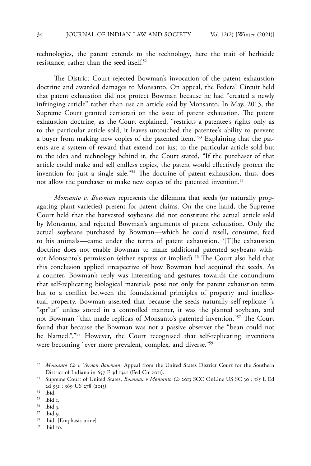technologies, the patent extends to the technology, here the trait of herbicide resistance, rather than the seed itself.<sup>52</sup>

The District Court rejected Bowman's invocation of the patent exhaustion doctrine and awarded damages to Monsanto. On appeal, the Federal Circuit held that patent exhaustion did not protect Bowman because he had "created a newly infringing article" rather than use an article sold by Monsanto. In May, 2013, the Supreme Court granted certiorari on the issue of patent exhaustion. The patent exhaustion doctrine, as the Court explained, "restricts a patentee's rights only as to the particular article sold; it leaves untouched the patentee's ability to prevent a buyer from making new copies of the patented item."53 Explaining that the patents are a system of reward that extend not just to the particular article sold but to the idea and technology behind it, the Court stated, "If the purchaser of that article could make and sell endless copies, the patent would effectively protect the invention for just a single sale."54 The doctrine of patent exhaustion, thus, does not allow the purchaser to make new copies of the patented invention.<sup>55</sup>

*Monsanto v. Bowman* represents the dilemma that seeds (or naturally propagating plant varieties) present for patent claims. On the one hand, the Supreme Court held that the harvested soybeans did not constitute the actual article sold by Monsanto, and rejected Bowman's arguments of patent exhaustion. Only the actual soybeans purchased by Bowman—which he could resell, consume, feed to his animals—came under the terms of patent exhaustion. '[T]he exhaustion doctrine does not enable Bowman to make additional patented soybeans without Monsanto's permission (either express or implied).'56 The Court also held that this conclusion applied irrespective of how Bowman had acquired the seeds. As a counter, Bowman's reply was interesting and gestures towards the conundrum that self-replicating biological materials pose not only for patent exhaustion term but to a conflict between the foundational principles of property and intellectual property. Bowman asserted that because the seeds naturally self-replicate "r "spr"ut" unless stored in a controlled manner, it was the planted soybean, and not Bowman "that made replicas of Monsanto's patented invention."57 The Court found that because the Bowman was not a passive observer the "bean could not be blamed.","58 However, the Court recognised that self-replicating inventions were becoming "ever more prevalent, complex, and diverse."59

<sup>52</sup> *Monsanto Co v Vernon Bowman*, Appeal from the United States District Court for the Southern District of Indiana in 657 F 3d 1341 (Fed Cir 2011).

<sup>53</sup> Supreme Court of United States, *Bowman v Monsanto Co* 2013 SCC OnLine US SC 30 : 185 L Ed 2d 931 : 569 US 278 (2013).

<sup>54</sup> ibid.

 $\frac{55}{56}$  ibid 1.

 $\frac{56}{57}$  ibid 5.

 $\frac{57}{58}$  ibid 9.

 $^{58}$  ibid. [Emphasis mine]

ibid 10.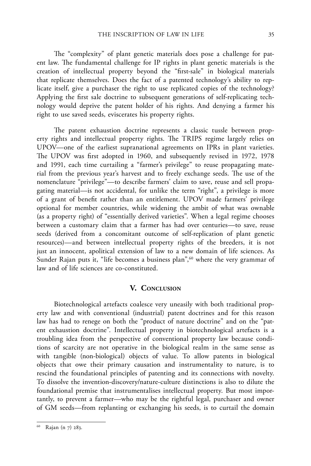The "complexity" of plant genetic materials does pose a challenge for patent law. The fundamental challenge for IP rights in plant genetic materials is the creation of intellectual property beyond the "first-sale" in biological materials that replicate themselves. Does the fact of a patented technology's ability to replicate itself, give a purchaser the right to use replicated copies of the technology? Applying the first sale doctrine to subsequent generations of self-replicating technology would deprive the patent holder of his rights. And denying a farmer his right to use saved seeds, eviscerates his property rights.

The patent exhaustion doctrine represents a classic tussle between property rights and intellectual property rights. The TRIPS regime largely relies on UPOV—one of the earliest supranational agreements on IPRs in plant varieties. The UPOV was first adopted in 1960, and subsequently revised in 1972, 1978 and 1991, each time curtailing a "farmer's privilege" to reuse propagating material from the previous year's harvest and to freely exchange seeds. The use of the nomenclature "privilege"—to describe farmers' claim to save, reuse and sell propagating material—is not accidental, for unlike the term "right", a privilege is more of a grant of benefit rather than an entitlement. UPOV made farmers' privilege optional for member countries, while widening the ambit of what was ownable (as a property right) of "essentially derived varieties". When a legal regime chooses between a customary claim that a farmer has had over centuries—to save, reuse seeds (derived from a concomitant outcome of self-replication of plant genetic resources)—and between intellectual property rights of the breeders, it is not just an innocent, apolitical extension of law to a new domain of life sciences. As Sunder Rajan puts it, "life becomes a business plan",<sup>60</sup> where the very grammar of law and of life sciences are co-constituted.

### **V. Conclusion**

Biotechnological artefacts coalesce very uneasily with both traditional property law and with conventional (industrial) patent doctrines and for this reason law has had to renege on both the "product of nature doctrine" and on the "patent exhaustion doctrine". Intellectual property in biotechnological artefacts is a troubling idea from the perspective of conventional property law because conditions of scarcity are not operative in the biological realm in the same sense as with tangible (non-biological) objects of value. To allow patents in biological objects that owe their primary causation and instrumentality to nature, is to rescind the foundational principles of patenting and its connections with novelty. To dissolve the invention-discovery/nature-culture distinctions is also to dilute the foundational premise that instrumentalises intellectual property. But most importantly, to prevent a farmer—who may be the rightful legal, purchaser and owner of GM seeds—from replanting or exchanging his seeds, is to curtail the domain

Rajan (n 7) 283.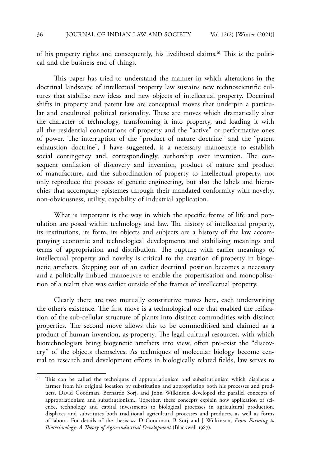of his property rights and consequently, his livelihood claims.61 This is the political and the business end of things.

This paper has tried to understand the manner in which alterations in the doctrinal landscape of intellectual property law sustains new technoscientific cultures that stabilise new ideas and new objects of intellectual property. Doctrinal shifts in property and patent law are conceptual moves that underpin a particular and encultured political rationality. These are moves which dramatically alter the character of technology, transforming it into property, and loading it with all the residential connotations of property and the "active" or performative ones of power. The interruption of the "product of nature doctrine" and the "patent exhaustion doctrine", I have suggested, is a necessary manoeuvre to establish social contingency and, correspondingly, authorship over invention. The consequent conflation of discovery and invention, product of nature and product of manufacture, and the subordination of property to intellectual property, not only reproduce the process of genetic engineering, but also the labels and hierarchies that accompany epistemes through their mandated conformity with novelty, non-obviousness, utility, capability of industrial application.

What is important is the way in which the specific forms of life and population are posed within technology and law. The history of intellectual property, its institutions, its form, its objects and subjects are a history of the law accompanying economic and technological developments and stabilising meanings and terms of appropriation and distribution. The rupture with earlier meanings of intellectual property and novelty is critical to the creation of property in biogenetic artefacts. Stepping out of an earlier doctrinal position becomes a necessary and a politically imbued manoeuvre to enable the propertisation and monopolisation of a realm that was earlier outside of the frames of intellectual property.

Clearly there are two mutually constitutive moves here, each underwriting the other's existence. The first move is a technological one that enabled the reification of the sub-cellular structure of plants into distinct commodities with distinct properties. The second move allows this to be commoditised and claimed as a product of human invention, as property. The legal cultural resources, with which biotechnologists bring biogenetic artefacts into view, often pre-exist the "discovery" of the objects themselves. As techniques of molecular biology become central to research and development efforts in biologically related fields, law serves to

 $61$  This can be called the techniques of appropriationism and substitutionism which displaces a farmer from his original location by substituting and appropriating both his processes and products. David Goodman, Bernardo Sorj, and John Wilkinson developed the parallel concepts of appropriationism and substitutionism.. Together, these concepts explain how application of science, technology and capital investments to biological processes in agricultural production, displaces and substitutes both traditional agricultural processes and products, as well as forms of labour. For details of the thesis *see* D Goodman, B Sorj and J Wilkinson, *From Farming to Biotechnology: A Theory of Agro-industrial Development* (Blackwell 1987).